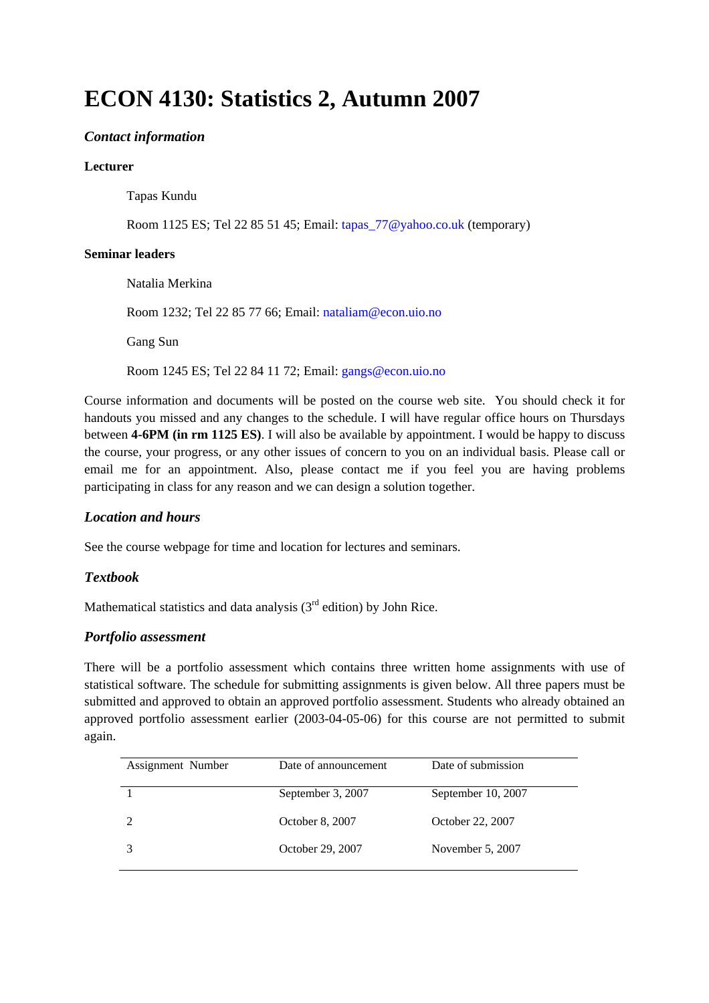# **ECON 4130: Statistics 2, Autumn 2007**

# *Contact information*

#### **Lecturer**

Tapas Kundu

Room 1125 ES; Tel 22 85 51 45; Email: tapas\_77@yahoo.co.uk (temporary)

#### **Seminar leaders**

 Natalia Merkina Room 1232; Tel 22 85 77 66; Email: nataliam@econ.uio.no Gang Sun Room 1245 ES; Tel 22 84 11 72; Email: gangs@econ.uio.no

Course information and documents will be posted on the course web site. You should check it for handouts you missed and any changes to the schedule. I will have regular office hours on Thursdays between **4-6PM (in rm 1125 ES)**. I will also be available by appointment. I would be happy to discuss the course, your progress, or any other issues of concern to you on an individual basis. Please call or email me for an appointment. Also, please contact me if you feel you are having problems participating in class for any reason and we can design a solution together.

#### *Location and hours*

See the course webpage for time and location for lectures and seminars.

#### *Textbook*

Mathematical statistics and data analysis  $(3<sup>rd</sup>$  edition) by John Rice.

#### *Portfolio assessment*

There will be a portfolio assessment which contains three written home assignments with use of statistical software. The schedule for submitting assignments is given below. All three papers must be submitted and approved to obtain an approved portfolio assessment. Students who already obtained an approved portfolio assessment earlier (2003-04-05-06) for this course are not permitted to submit again.

| Assignment Number | Date of announcement | Date of submission |
|-------------------|----------------------|--------------------|
|                   | September 3, 2007    | September 10, 2007 |
|                   | October 8, 2007      | October 22, 2007   |
|                   | October 29, 2007     | November 5, 2007   |
|                   |                      |                    |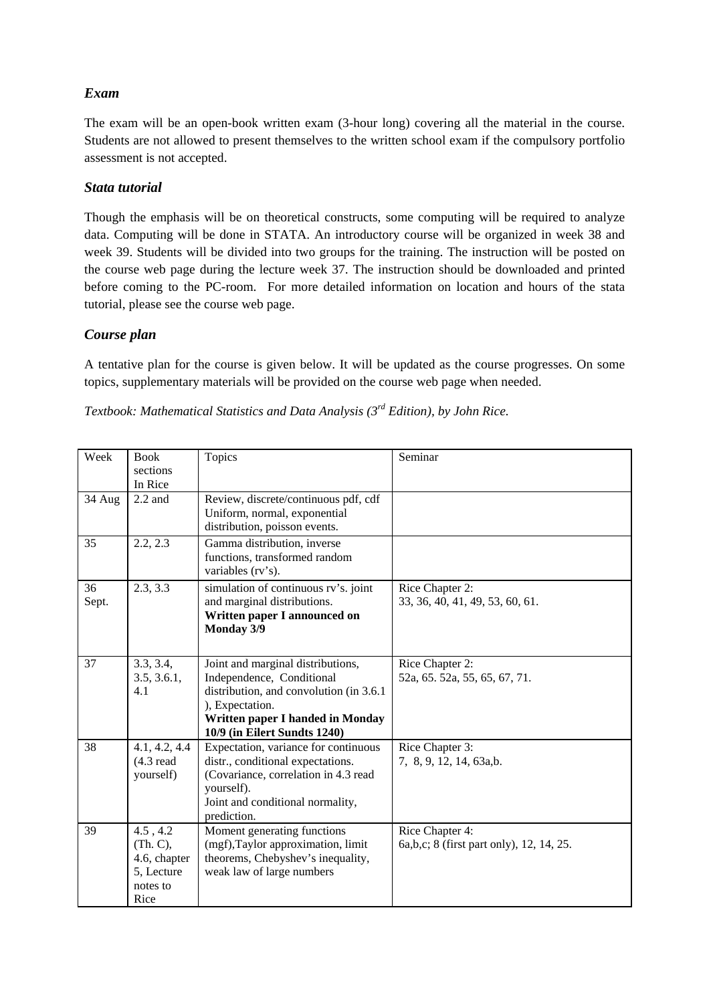# *Exam*

The exam will be an open-book written exam (3-hour long) covering all the material in the course. Students are not allowed to present themselves to the written school exam if the compulsory portfolio assessment is not accepted.

## *Stata tutorial*

Though the emphasis will be on theoretical constructs, some computing will be required to analyze data. Computing will be done in STATA. An introductory course will be organized in week 38 and week 39. Students will be divided into two groups for the training. The instruction will be posted on the course web page during the lecture week 37. The instruction should be downloaded and printed before coming to the PC-room. For more detailed information on location and hours of the stata tutorial, please see the course web page.

## *Course plan*

A tentative plan for the course is given below. It will be updated as the course progresses. On some topics, supplementary materials will be provided on the course web page when needed.

| Textbook: Mathematical Statistics and Data Analysis $3^{rd}$ Edition), by John Rice. |  |
|--------------------------------------------------------------------------------------|--|
|--------------------------------------------------------------------------------------|--|

| Week        | <b>Book</b><br>sections<br>In Rice                                     | Topics                                                                                                                                                                                            | Seminar                                                       |
|-------------|------------------------------------------------------------------------|---------------------------------------------------------------------------------------------------------------------------------------------------------------------------------------------------|---------------------------------------------------------------|
| 34 Aug      | $2.2$ and                                                              | Review, discrete/continuous pdf, cdf<br>Uniform, normal, exponential<br>distribution, poisson events.                                                                                             |                                                               |
| 35          | 2.2, 2.3                                                               | Gamma distribution, inverse<br>functions, transformed random<br>variables (rv's).                                                                                                                 |                                                               |
| 36<br>Sept. | 2.3, 3.3                                                               | simulation of continuous rv's. joint<br>and marginal distributions.<br>Written paper I announced on<br>Monday 3/9                                                                                 | Rice Chapter 2:<br>33, 36, 40, 41, 49, 53, 60, 61.            |
| 37          | 3.3, 3.4,<br>3.5, 3.6.1,<br>4.1                                        | Joint and marginal distributions,<br>Independence, Conditional<br>distribution, and convolution (in 3.6.1)<br>), Expectation.<br>Written paper I handed in Monday<br>10/9 (in Eilert Sundts 1240) | Rice Chapter 2:<br>52a, 65. 52a, 55, 65, 67, 71.              |
| 38          | 4.1, 4.2, 4.4<br>$(4.3 \text{ read})$<br>yourself)                     | Expectation, variance for continuous<br>distr., conditional expectations.<br>(Covariance, correlation in 4.3 read<br>yourself).<br>Joint and conditional normality,<br>prediction.                | Rice Chapter 3:<br>7, 8, 9, 12, 14, 63a,b.                    |
| 39          | 4.5, 4.2<br>(Th. C),<br>4.6, chapter<br>5, Lecture<br>notes to<br>Rice | Moment generating functions<br>(mgf), Taylor approximation, limit<br>theorems, Chebyshev's inequality,<br>weak law of large numbers                                                               | Rice Chapter 4:<br>6a, b, c; 8 (first part only), 12, 14, 25. |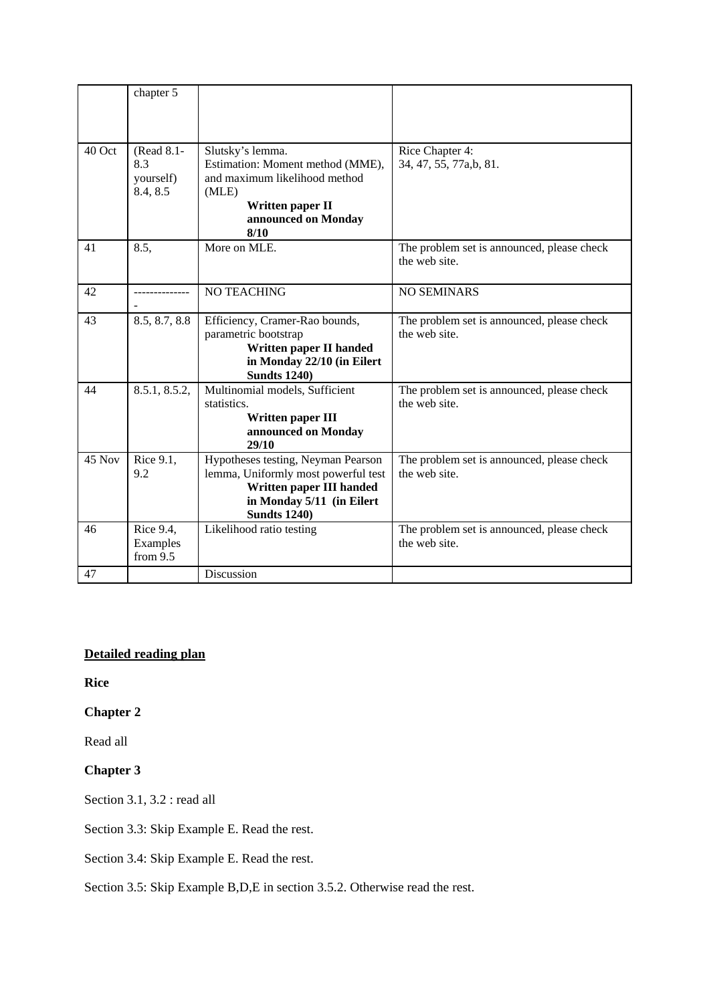|        | chapter 5                                  |                                                                                                                                                           |                                                             |
|--------|--------------------------------------------|-----------------------------------------------------------------------------------------------------------------------------------------------------------|-------------------------------------------------------------|
| 40 Oct | (Read 8.1-<br>8.3<br>yourself)<br>8.4, 8.5 | Slutsky's lemma.<br>Estimation: Moment method (MME),<br>and maximum likelihood method<br>(MLE)<br>Written paper II<br>announced on Monday<br>8/10         | Rice Chapter 4:<br>34, 47, 55, 77a,b, 81.                   |
| 41     | 8.5,                                       | More on MLE.                                                                                                                                              | The problem set is announced, please check<br>the web site. |
| 42     |                                            | NO TEACHING                                                                                                                                               | <b>NO SEMINARS</b>                                          |
| 43     | 8.5, 8.7, 8.8                              | Efficiency, Cramer-Rao bounds,<br>parametric bootstrap<br>Written paper II handed<br>in Monday 22/10 (in Eilert<br><b>Sundts 1240)</b>                    | The problem set is announced, please check<br>the web site. |
| 44     | 8.5.1, 8.5.2,                              | Multinomial models, Sufficient<br>statistics.<br>Written paper III<br>announced on Monday<br>29/10                                                        | The problem set is announced, please check<br>the web site. |
| 45 Nov | Rice 9.1,<br>9.2                           | Hypotheses testing, Neyman Pearson<br>lemma, Uniformly most powerful test<br>Written paper III handed<br>in Monday 5/11 (in Eilert<br><b>Sundts 1240)</b> | The problem set is announced, please check<br>the web site. |
| 46     | Rice 9.4,<br>Examples<br>from $9.5$        | Likelihood ratio testing                                                                                                                                  | The problem set is announced, please check<br>the web site. |
| 47     |                                            | Discussion                                                                                                                                                |                                                             |

# **Detailed reading plan**

**Rice** 

# **Chapter 2**

Read all

# **Chapter 3**

Section 3.1, 3.2 : read all

Section 3.3: Skip Example E. Read the rest.

Section 3.4: Skip Example E. Read the rest.

Section 3.5: Skip Example B,D,E in section 3.5.2. Otherwise read the rest.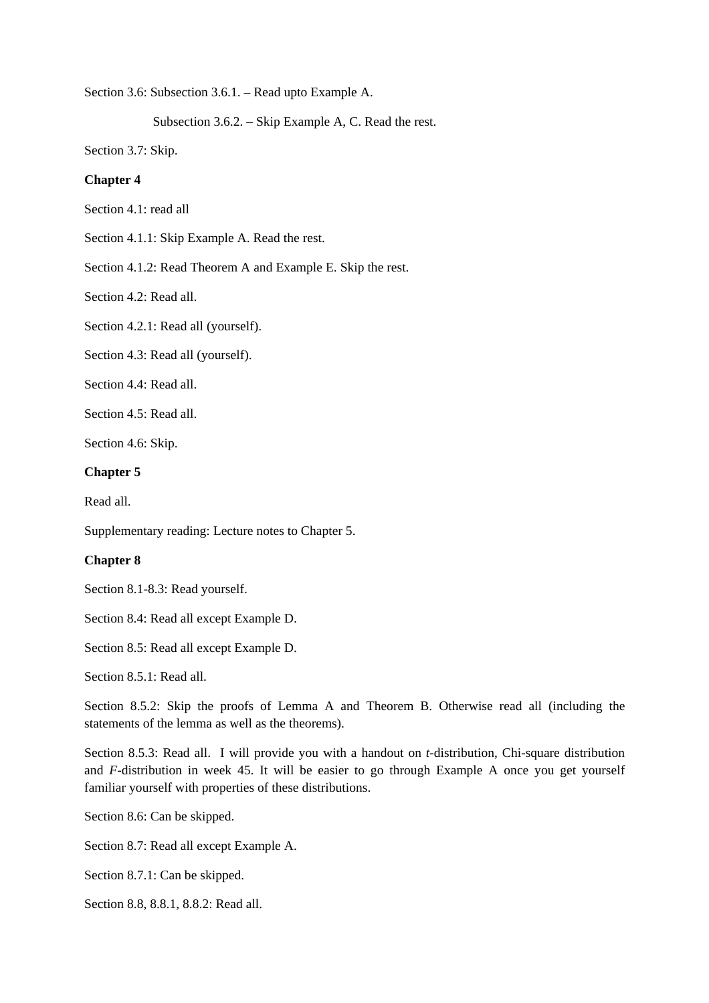Section 3.6: Subsection 3.6.1. – Read upto Example A.

Subsection 3.6.2. – Skip Example A, C. Read the rest.

Section 3.7: Skip.

#### **Chapter 4**

Section 4.1: read all

Section 4.1.1: Skip Example A. Read the rest.

Section 4.1.2: Read Theorem A and Example E. Skip the rest.

Section 4.2: Read all.

Section 4.2.1: Read all (yourself).

Section 4.3: Read all (yourself).

Section 4.4: Read all.

Section 4.5: Read all.

Section 4.6: Skip.

#### **Chapter 5**

Read all.

Supplementary reading: Lecture notes to Chapter 5.

#### **Chapter 8**

Section 8.1-8.3: Read yourself.

Section 8.4: Read all except Example D.

Section 8.5: Read all except Example D.

Section 8.5.1: Read all.

Section 8.5.2: Skip the proofs of Lemma A and Theorem B. Otherwise read all (including the statements of the lemma as well as the theorems).

Section 8.5.3: Read all. I will provide you with a handout on *t*-distribution, Chi-square distribution and *F*-distribution in week 45. It will be easier to go through Example A once you get yourself familiar yourself with properties of these distributions.

Section 8.6: Can be skipped.

Section 8.7: Read all except Example A.

Section 8.7.1: Can be skipped.

Section 8.8, 8.8.1, 8.8.2: Read all.